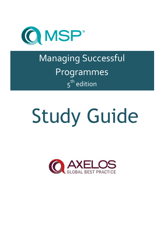

Managing Successful Programmes  $5<sup>th</sup>$  edition

# Study Guide

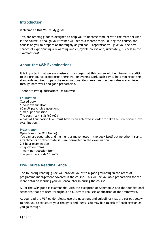# **Introduction**

Welcome to this MSP study guide.

This pre-reading guide is designed to help you to become familiar with the material used in the course. Although your trainer will act as a mentor to you during the course, the onus is on you to prepare as thoroughly as you can. Preparation will give you the best chance of experiencing a rewarding and enjoyable course and, ultimately, success in the examinations!

# **About the MSP Examinations**

It is important that we emphasise at this stage that this course will be intense. In addition to the pre-course preparation there will be evening work each day to help you reach the standards required to pass the examinations. Good examination pass rates are achieved through hard work and good preparation.

There are two qualifications, as follows:

### **Foundation**

Closed book 1-hour examination 60 multiple choice questions 1 mark per question The pass mark is 36/60 (60%) A pass at Foundation level must have been achieved in order to take the Practitioner level examination.

### **Practitioner**

Open book (the MSP Guide) You can use page tabs and highlight or make notes in the book itself but no other inserts, attachments or other materials are permitted in the examination 2.5 hour examination 70 question items 1 mark per question item The pass mark is 42/70 (60%)

# **Pre-Course Reading Guide**

The following reading guide will provide you with a good grounding in the areas of programme management covered in the course. This will be valuable preparation for the more detailed learning you will encounter in during the course.

All of the MSP guide is examinable, with the exception of Appendix A and the four fictional scenarios that are used throughout to illustrate realistic application of the framework.

As you read the MSP guide, please use the questions and guidelines that are set out below to help you to structure your thoughts and ideas. You may like to tick off each section as you go through.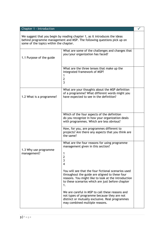| Chapter 1 - Introduction                                                                                                                                                                        |                                                                                                                                                                                                                        |  |
|-------------------------------------------------------------------------------------------------------------------------------------------------------------------------------------------------|------------------------------------------------------------------------------------------------------------------------------------------------------------------------------------------------------------------------|--|
| We suggest that you begin by reading chapter 1, as it introduces the ideas<br>behind programme management and MSP. The following questions pick up on<br>some of the topics within the chapter. |                                                                                                                                                                                                                        |  |
| 1.1 Purpose of the guide                                                                                                                                                                        | What are some of the challenges and changes that<br>you/your organization has faced?                                                                                                                                   |  |
|                                                                                                                                                                                                 | What are the three lenses that make up the<br>integrated framework of MSP?<br>1<br>$\overline{2}$<br>3                                                                                                                 |  |
| 1.2 What is a programme?                                                                                                                                                                        | What are your thoughts about the MSP definition<br>of a programme? What different words might you<br>have expected to see in the definition?                                                                           |  |
|                                                                                                                                                                                                 | Which of the four aspects of the definition<br>do you recognize in how your organization deals<br>with programmes. Which are less obvious?                                                                             |  |
|                                                                                                                                                                                                 | How, for you, are programmes different to<br>projects? Are there any aspects that you think are<br>the same?                                                                                                           |  |
| 1.3 Why use programme<br>management?                                                                                                                                                            | What are the four reasons for using programme<br>management given in this section?<br>1<br>$\mathbf 2$<br>$\overline{3}$<br>$\overline{4}$                                                                             |  |
|                                                                                                                                                                                                 | You will see that the four fictional scenarios used<br>throughout the guide are aligned to these four<br>reasons. You might like to look at the introduction<br>to these scenarios which are just before chapter<br>1. |  |
|                                                                                                                                                                                                 | We are careful in MSP to call these reasons and<br>not types of programme because they are not<br>distinct or mutually exclusive. Real programmes<br>may combined multiple reasons.                                    |  |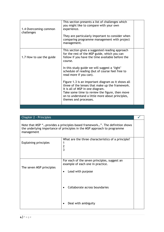| 1.4 Overcoming common<br>challenges | This section presents a list of challenges which<br>you might like to compare with your own<br>experience.<br>They are particularly important to consider when<br>comparing programme management with project<br>management.                                                                                                                                                                                                                                                                                                                                             |  |
|-------------------------------------|--------------------------------------------------------------------------------------------------------------------------------------------------------------------------------------------------------------------------------------------------------------------------------------------------------------------------------------------------------------------------------------------------------------------------------------------------------------------------------------------------------------------------------------------------------------------------|--|
| 1.7 How to use the guide            | This section gives a suggested reading approach<br>for the rest of the MSP guide, which you can<br>follow if you have the time available before the<br>course.<br>In this study guide we will suggest a 'light'<br>schedule of reading (but of course feel free to<br>read more if you can).<br>Figure 1.3 is an important diagram as it shows all<br>three of the lenses that make up the framework.<br>It is all of MSP in one diagram.<br>Take some time to review the figure, then move<br>on to understand a little more about principles,<br>themes and processes. |  |

| Chapter 2 - Principles                                                                                                                                                |                                                                                                       |  |  |
|-----------------------------------------------------------------------------------------------------------------------------------------------------------------------|-------------------------------------------------------------------------------------------------------|--|--|
| Note that MSP "provides a principles-based framework". The definition shows<br>the underlying importance of principles in the MSP approach to programme<br>management |                                                                                                       |  |  |
| <b>Explaining principles</b>                                                                                                                                          | What are the three characteristics of a principle?<br>$\overline{c}$<br>3                             |  |  |
| The seven MSP principles                                                                                                                                              | For each of the seven principles, suggest an<br>example of each one in practice.<br>Lead with purpose |  |  |
|                                                                                                                                                                       | Collaborate across boundaries                                                                         |  |  |
|                                                                                                                                                                       | Deal with ambiguity                                                                                   |  |  |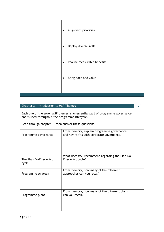| Align with priorities<br>$\bullet$       |  |
|------------------------------------------|--|
| Deploy diverse skills                    |  |
| Realize measurable benefits<br>$\bullet$ |  |
| Bring pace and value<br>$\bullet$        |  |
|                                          |  |

| Chapter 3 - Introduction to MSP Themes                                                                                           |  |
|----------------------------------------------------------------------------------------------------------------------------------|--|
| Each one of the seven MSP themes is an essential part of programme governance<br>and is used throughout the programme lifecycle. |  |
| Read through chapter 3, then answer these questions.                                                                             |  |

| Programme governance           | From memory, explain programme governance,<br>and how it fits with corporate governance. |  |
|--------------------------------|------------------------------------------------------------------------------------------|--|
| The Plan-Do-Check-Act<br>cycle | What does MSP recommend regarding the Plan-Do-<br>Check-Act cycle?                       |  |
| Programme strategy             | From memory, how many of the different<br>approaches can you recall?                     |  |
| Programme plans                | From memory, how many of the different plans<br>can you recall?                          |  |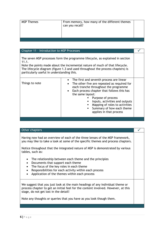| <b>MSP Themes</b> | From memory, how many of the different themes<br>can you recall? |  |
|-------------------|------------------------------------------------------------------|--|
|                   |                                                                  |  |

| Chapter 11 - Introduction to MSP Processes |  |
|--------------------------------------------|--|
|                                            |  |

The seven MSP processes form the programme lifecycle, as explained in section 11.1.

Note the points made about the incremental nature of much of that lifecycle. The lifecycle diagram (figure 1.3 and used throughout the process chapters) is particularly useful in understanding this.

| Other chapters                                                                                                                                                                                                                                                                                         |  |
|--------------------------------------------------------------------------------------------------------------------------------------------------------------------------------------------------------------------------------------------------------------------------------------------------------|--|
| Having now had an overview of each of the three lenses of the MSP framework,<br>you may like to take a look at some of the specific themes and process chapters.<br>Notice throughout that the integrated nature of MSP is demonstrated by various<br>tables, such as:                                 |  |
| The relationship between each theme and the principles<br>$\bullet$<br>Documents that support each theme<br>$\bullet$<br>The focus of the key roles in each theme<br>Responsibilities for each activity within each process<br>$\bullet$<br>Application of the themes within each process<br>$\bullet$ |  |
| We suggest that you just look at the main headings of any individual theme or<br>process chapter to get an initial feel for the content involved. However, at this<br>stage, do not get lost in the detail!<br>Note any thoughts or queries that you have as you look though them.                     |  |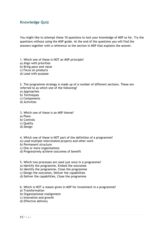# **Knowledge Quiz**

You might like to attempt these 10 questions to test your knowledge of MSP so far. Try the questions without using the MSP guide. At the end of the questions you will find the answers together with a reference to the section in MSP that explains the answer.

1. Which one of these is NOT an MSP principle?

- a) Align with priorities
- b) Bring pace and value
- c) Focus on products
- d) Lead with purpose

2. The programme strategy is made up of a number of different sections. These are referred to as which one of the following?

a) Approaches

- b) Techniques
- c) Components
- d) Activities
- 3. Which one of these is an MSP theme?
- a) Plans
- b) Controls
- c) Quality
- d) Design
- 4. Which one of these is NOT part of the definition of a programme?
- a) Lead multiple interrelated projects and other work
- b) Permanent structure
- c) One or more organizations
- d) Progressively achieve outcomes of benefit
- 5. Which two processes are used just once in a programme?
- a) Identify the programme, Embed the outcomes
- b) Identify the programme, Close the programme
- c) Design the outcomes, Deliver the capabilities
- d) Deliver the capabilities, Close the programme
- 6. Which is NOT a reason given in MSP for investment in a programme?
- a) Transformation
- b) Organizational realignment
- c) Innovation and growth
- d) Effective delivery